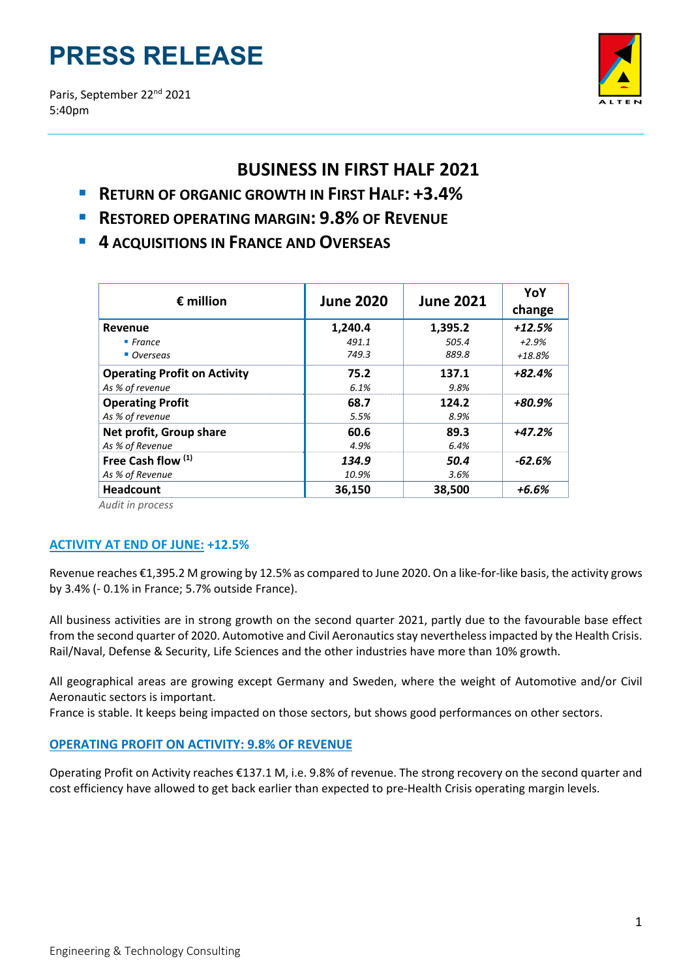# **PRESS RELEASE**

Paris, September 22<sup>nd</sup> 2021 5:40pm



# **BUSINESS IN FIRST HALF 2021**

- **RETURN OF ORGANIC GROWTH IN FIRST HALF: +3.4%**
- **RESTORED OPERATING MARGIN: 9.8% OF REVENUE**
- **4 ACQUISITIONS IN FRANCE AND OVERSEAS**

| <b>June 2020</b> | <b>June 2021</b> | YoY<br>change |
|------------------|------------------|---------------|
| 1,240.4          | 1,395.2          | $+12.5%$      |
| 491.1            | 505.4            | $+2.9%$       |
| 749.3            | 889.8            | $+18.8%$      |
| 75.2             | 137.1            | $+82.4%$      |
| 6.1%             | 9.8%             |               |
| 68.7             | 124.2            | +80.9%        |
| 5.5%             | 8.9%             |               |
| 60.6             | 89.3             | +47.2%        |
| 4.9%             | 6.4%             |               |
| 134.9            | 50.4             | $-62.6%$      |
| 10.9%            | 3.6%             |               |
| 36,150           | 38,500           | $+6.6%$       |
|                  |                  |               |

*Audit in process*

# **ACTIVITY AT END OF JUNE: +12.5%**

Revenue reaches €1,395.2 M growing by 12.5% as compared to June 2020. On a like-for-like basis, the activity grows by 3.4% (‐ 0.1% in France; 5.7% outside France).

All business activities are in strong growth on the second quarter 2021, partly due to the favourable base effect from the second quarter of 2020. Automotive and Civil Aeronautics stay neverthelessimpacted by the Health Crisis. Rail/Naval, Defense & Security, Life Sciences and the other industries have more than 10% growth.

All geographical areas are growing except Germany and Sweden, where the weight of Automotive and/or Civil Aeronautic sectors is important.

France is stable. It keeps being impacted on those sectors, but shows good performances on other sectors.

# **OPERATING PROFIT ON ACTIVITY: 9.8% OF REVENUE**

Operating Profit on Activity reaches €137.1 M, i.e. 9.8% of revenue. The strong recovery on the second quarter and cost efficiency have allowed to get back earlier than expected to pre‐Health Crisis operating margin levels.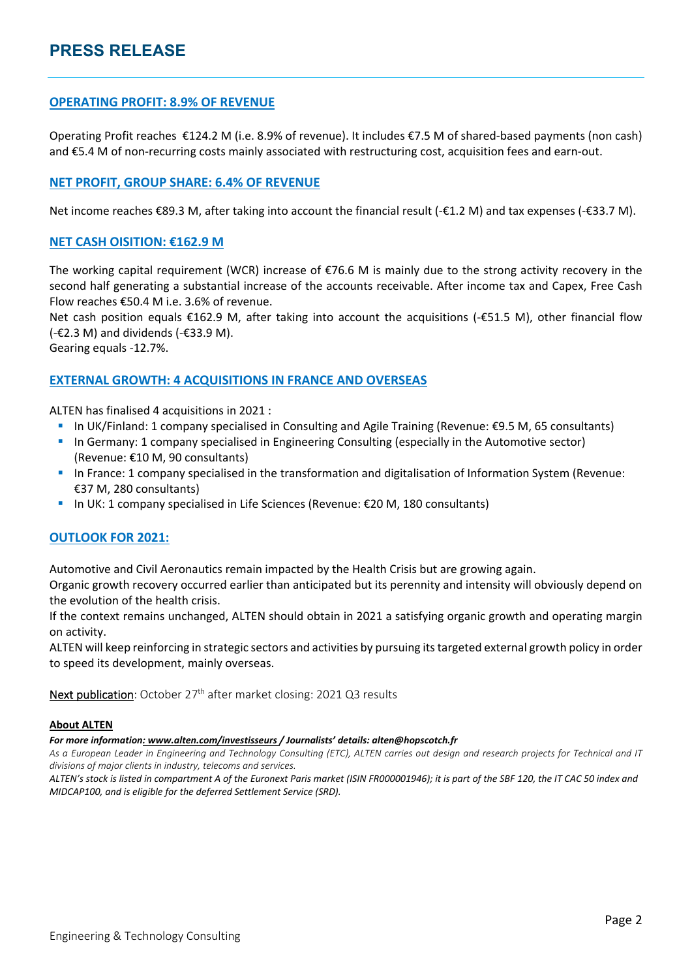# **OPERATING PROFIT: 8.9% OF REVENUE**

Operating Profit reaches €124.2 M (i.e. 8.9% of revenue). It includes €7.5 M of shared‐based payments (non cash) and €5.4 M of non-recurring costs mainly associated with restructuring cost, acquisition fees and earn-out.

# **NET PROFIT, GROUP SHARE: 6.4% OF REVENUE**

Net income reaches €89.3 M, after taking into account the financial result (‐€1.2 M) and tax expenses (‐€33.7 M).

#### **NET CASH OISITION: €162.9 M**

The working capital requirement (WCR) increase of €76.6 M is mainly due to the strong activity recovery in the second half generating a substantial increase of the accounts receivable. After income tax and Capex, Free Cash Flow reaches €50.4 M i.e. 3.6% of revenue.

Net cash position equals €162.9 M, after taking into account the acquisitions (-€51.5 M), other financial flow (-€2.3 M) and dividends (-€33.9 M).

Gearing equals ‐12.7%.

### **EXTERNAL GROWTH: 4 ACQUISITIONS IN FRANCE AND OVERSEAS**

ALTEN has finalised 4 acquisitions in 2021 :

- In UK/Finland: 1 company specialised in Consulting and Agile Training (Revenue: €9.5 M, 65 consultants)
- **In Germany: 1 company specialised in Engineering Consulting (especially in the Automotive sector)** (Revenue: €10 M, 90 consultants)
- In France: 1 company specialised in the transformation and digitalisation of Information System (Revenue: €37 M, 280 consultants)
- In UK: 1 company specialised in Life Sciences (Revenue:  $\epsilon$ 20 M, 180 consultants)

#### **OUTLOOK FOR 2021:**

Automotive and Civil Aeronautics remain impacted by the Health Crisis but are growing again.

Organic growth recovery occurred earlier than anticipated but its perennity and intensity will obviously depend on the evolution of the health crisis.

If the context remains unchanged, ALTEN should obtain in 2021 a satisfying organic growth and operating margin on activity.

ALTEN will keep reinforcing in strategic sectors and activities by pursuing itstargeted external growth policy in order to speed its development, mainly overseas.

Next publication: October 27<sup>th</sup> after market closing: 2021 Q3 results

#### **About ALTEN**

*For more information: www.alten.com/investisseurs / Journalists' details: alten@hopscotch.fr*

As a European Leader in Engineering and Technology Consulting (ETC), ALTEN carries out design and research projects for Technical and IT *divisions of major clients in industry, telecoms and services.*

ALTEN's stock is listed in compartment A of the Euronext Paris market (ISIN FR000001946); it is part of the SBF 120, the IT CAC 50 index and *MIDCAP100, and is eligible for the deferred Settlement Service (SRD).*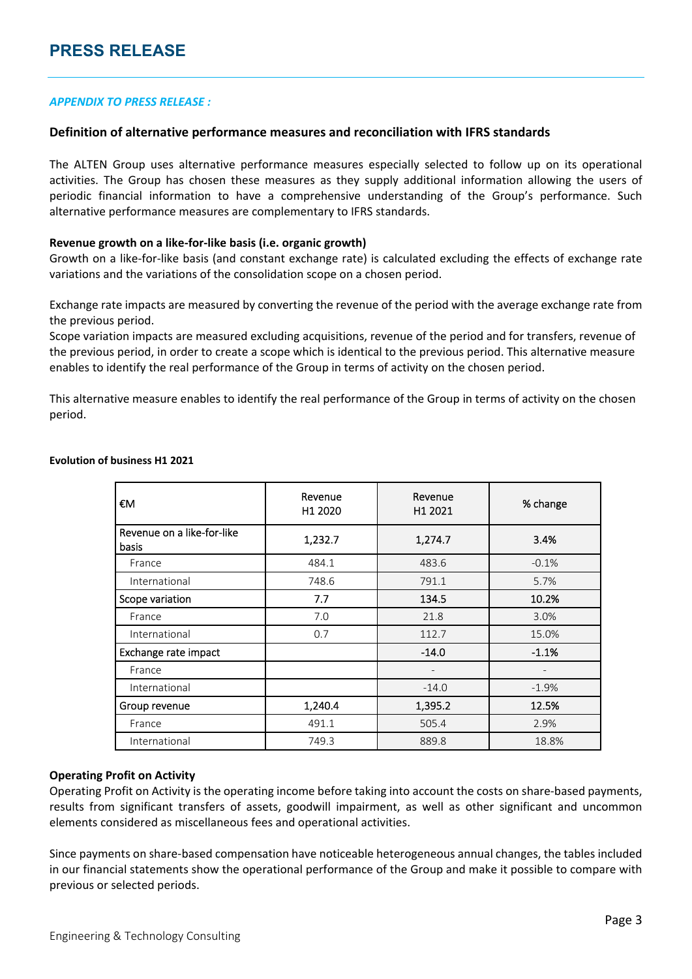#### *APPENDIX TO PRESS RELEASE :*

#### **Definition of alternative performance measures and reconciliation with IFRS standards**

The ALTEN Group uses alternative performance measures especially selected to follow up on its operational activities. The Group has chosen these measures as they supply additional information allowing the users of periodic financial information to have a comprehensive understanding of the Group's performance. Such alternative performance measures are complementary to IFRS standards.

#### **Revenue growth on a like‐for‐like basis (i.e. organic growth)**

Growth on a like‐for‐like basis (and constant exchange rate) is calculated excluding the effects of exchange rate variations and the variations of the consolidation scope on a chosen period.

Exchange rate impacts are measured by converting the revenue of the period with the average exchange rate from the previous period.

Scope variation impacts are measured excluding acquisitions, revenue of the period and for transfers, revenue of the previous period, in order to create a scope which is identical to the previous period. This alternative measure enables to identify the real performance of the Group in terms of activity on the chosen period.

This alternative measure enables to identify the real performance of the Group in terms of activity on the chosen period.

| €Μ                                  | Revenue<br>H1 2020 | Revenue<br>H1 2021 | % change |
|-------------------------------------|--------------------|--------------------|----------|
| Revenue on a like-for-like<br>basis | 1,232.7            | 1,274.7            | 3.4%     |
| France                              | 484.1              | 483.6              | $-0.1%$  |
| International                       | 748.6              | 791.1              | 5.7%     |
| Scope variation                     | 7.7                | 134.5              | 10.2%    |
| France                              | 7.0                | 21.8               | 3.0%     |
| International                       | 0.7                | 112.7              | 15.0%    |
| Exchange rate impact                |                    | $-14.0$            | $-1.1%$  |
| France                              |                    |                    |          |
| International                       |                    | $-14.0$            | $-1.9%$  |
| Group revenue                       | 1,240.4            | 1,395.2            | 12.5%    |
| France                              | 491.1              | 505.4              | 2.9%     |
| International                       | 749.3              | 889.8              | 18.8%    |

#### **Evolution of business H1 2021**

#### **Operating Profit on Activity**

Operating Profit on Activity is the operating income before taking into account the costs on share‐based payments, results from significant transfers of assets, goodwill impairment, as well as other significant and uncommon elements considered as miscellaneous fees and operational activities.

Since payments on share‐based compensation have noticeable heterogeneous annual changes, the tables included in our financial statements show the operational performance of the Group and make it possible to compare with previous or selected periods.